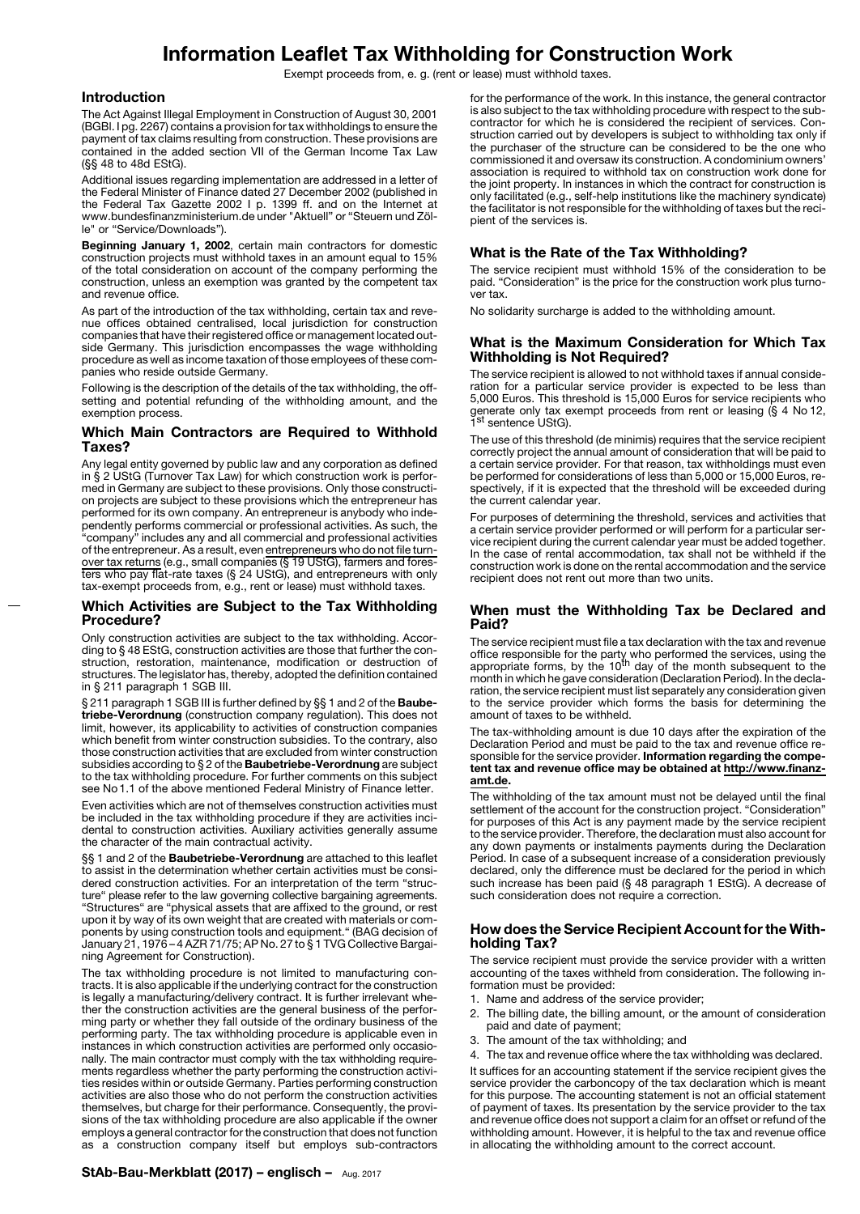# **Information Leaflet Tax Withholding for Construction Work**

Exempt proceeds from, e. g. (rent or lease) must withhold taxes.

### **Introduction**

The Act Against Illegal Employment in Construction of August 30, 2001 (BGBl. I pg. 2267) contains a provision for tax withholdings to ensure the payment of tax claims resulting from construction. These provisions are contained in the added section VII of the German Income Tax Law (§§ 48 to 48d EStG).

Additional issues regarding implementation are addressed in a letter of the Federal Minister of Finance dated 27 December 2002 (published in the Federal Tax Gazette 2002 I p. 1399 ff. and on the Internet at www.bundesfinanzministerium.de under "Aktuell" or "Steuern und Zölle" or "Service/Downloads").

**Beginning January 1, 2002**, certain main contractors for domestic construction projects must withhold taxes in an amount equal to 15% of the total consideration on account of the company performing the construction, unless an exemption was granted by the competent tax and revenue office.

As part of the introduction of the tax withholding, certain tax and revenue offices obtained centralised, local jurisdiction for construction companies that have their registered office or management located outside Germany. This jurisdiction encompasses the wage withholding procedure as well as income taxation of those employees of these companies who reside outside Germany.

Following is the description of the details of the tax withholding, the offsetting and potential refunding of the withholding amount, and the exemption process.

## **Which Main Contractors are Required to Withhold Taxes?**

Any legal entity governed by public law and any corporation as defined in § 2 UStG (Turnover Tax Law) for which construction work is performed in Germany are subject to these provisions. Only those construction projects are subject to these provisions which the entrepreneur has performed for its own company. An entrepreneur is anybody who independently performs commercial or professional activities. As such, the "company" includes any and all commercial and professional activities of the entrepreneur. As a result, even entrepreneurs who do not file turnover tax returns (e.g., small companies (§ 19 UStG), farmers and foresters who pay flat-rate taxes (§ 24 UStG), and entrepreneurs with only tax-exempt proceeds from, e.g., rent or lease) must withhold taxes.

### **Which Activities are Subject to the Tax Withholding Procedure?**

Only construction activities are subject to the tax withholding. According to § 48 EStG, construction activities are those that further the construction, restoration, maintenance, modification or destruction of structures. The legislator has, thereby, adopted the definition contained in § 211 paragraph 1 SGB III.

§ 211 paragraph 1 SGB III is further defined by §§ 1 and 2 of the **Baubetriebe-Verordnung** (construction company regulation). This does not limit, however, its applicability to activities of construction companies which benefit from winter construction subsidies. To the contrary, also those construction activities that are excluded from winter construction subsidies according to § 2 of the **Baubetriebe-Verordnung** are subject to the tax withholding procedure. For further comments on this subject see No 1.1 of the above mentioned Federal Ministry of Finance letter.

Even activities which are not of themselves construction activities must be included in the tax withholding procedure if they are activities incidental to construction activities. Auxiliary activities generally assume the character of the main contractual activity.

§§ 1 and 2 of the **Baubetriebe-Verordnung** are attached to this leaflet to assist in the determination whether certain activities must be considered construction activities. For an interpretation of the term "structure" please refer to the law governing collective bargaining agreements. "Structures" are "physical assets that are affixed to the ground, or rest upon it by way of its own weight that are created with materials or components by using construction tools and equipment." (BAG decision of January 21, 1976 – 4 AZR 71/75; AP No. 27 to § 1 TVG Collective Bargaining Agreement for Construction).

The tax withholding procedure is not limited to manufacturing contracts. It is also applicable if the underlying contract for the construction is legally a manufacturing/delivery contract. It is further irrelevant whether the construction activities are the general business of the performing party or whether they fall outside of the ordinary business of the performing party. The tax withholding procedure is applicable even in instances in which construction activities are performed only occasionally. The main contractor must comply with the tax withholding requirements regardless whether the party performing the construction activities resides within or outside Germany. Parties performing construction activities are also those who do not perform the construction activities themselves, but charge for their performance. Consequently, the provisions of the tax withholding procedure are also applicable if the owner employs a general contractor for the construction that does not function as a construction company itself but employs sub-contractors

## **StAb-Bau-Merkblatt (2017) – englisch –** Aug. 2017

for the performance of the work. In this instance, the general contractor is also subject to the tax withholding procedure with respect to the subcontractor for which he is considered the recipient of services. Construction carried out by developers is subject to withholding tax only if the purchaser of the structure can be considered to be the one who commissioned it and oversaw its construction. A condominium owners' association is required to withhold tax on construction work done for the joint property. In instances in which the contract for construction is only facilitated (e.g., self-help institutions like the machinery syndicate) the facilitator is not responsible for the withholding of taxes but the recipient of the services is.

## **What is the Rate of the Tax Withholding?**

The service recipient must withhold 15% of the consideration to be paid. "Consideration" is the price for the construction work plus turnover tax.

No solidarity surcharge is added to the withholding amount.

## **What is the Maximum Consideration for Which Tax Withholding is Not Required?**

The service recipient is allowed to not withhold taxes if annual consideration for a particular service provider is expected to be less than 5,000 Euros. This threshold is 15,000 Euros for service recipients who generate only tax exempt proceeds from rent or leasing (§ 4 No 12,<br>1<sup>st</sup> sentence UStG).

The use of this threshold (de minimis) requires that the service recipient correctly project the annual amount of consideration that will be paid to a certain service provider. For that reason, tax withholdings must even be performed for considerations of less than 5,000 or 15,000 Euros, respectively, if it is expected that the threshold will be exceeded during the current calendar year.

For purposes of determining the threshold, services and activities that a certain service provider performed or will perform for a particular service recipient during the current calendar year must be added together. In the case of rental accommodation, tax shall not be withheld if the construction work is done on the rental accommodation and the service recipient does not rent out more than two units.

### **When must the Withholding Tax be Declared and Paid?**

The service recipient must file a tax declaration with the tax and revenue office responsible for the party who performed the services, using the<br>appropriate forms, by the 10<sup>th</sup> day of the month subsequent to the month in which he gave consideration (Declaration Period). In the declaration, the service recipient must list separately any consideration given to the service provider which forms the basis for determining the amount of taxes to be withheld.

The tax-withholding amount is due 10 days after the expiration of the Declaration Period and must be paid to the tax and revenue office responsible for the service provider. **Information regarding the competent tax and revenue office may be obtained at http://www.finanzamt.de.**

The withholding of the tax amount must not be delayed until the final settlement of the account for the construction project. "Consideration" for purposes of this Act is any payment made by the service recipient to the service provider. Therefore, the declaration must also account for any down payments or instalments payments during the Declaration Period. In case of a subsequent increase of a consideration previously declared, only the difference must be declared for the period in which such increase has been paid (§ 48 paragraph 1 EStG). A decrease of such consideration does not require a correction.

## **How does the Service Recipient Account for the Withholding Tax?**

The service recipient must provide the service provider with a written accounting of the taxes withheld from consideration. The following information must be provided:

- 1. Name and address of the service provider;
- 2. The billing date, the billing amount, or the amount of consideration paid and date of payment;
- 3. The amount of the tax withholding; and
- 4. The tax and revenue office where the tax withholding was declared.

It suffices for an accounting statement if the service recipient gives the service provider the carboncopy of the tax declaration which is meant for this purpose. The accounting statement is not an official statement of payment of taxes. Its presentation by the service provider to the tax and revenue office does not support a claim for an offset or refund of the withholding amount. However, it is helpful to the tax and revenue office in allocating the withholding amount to the correct account.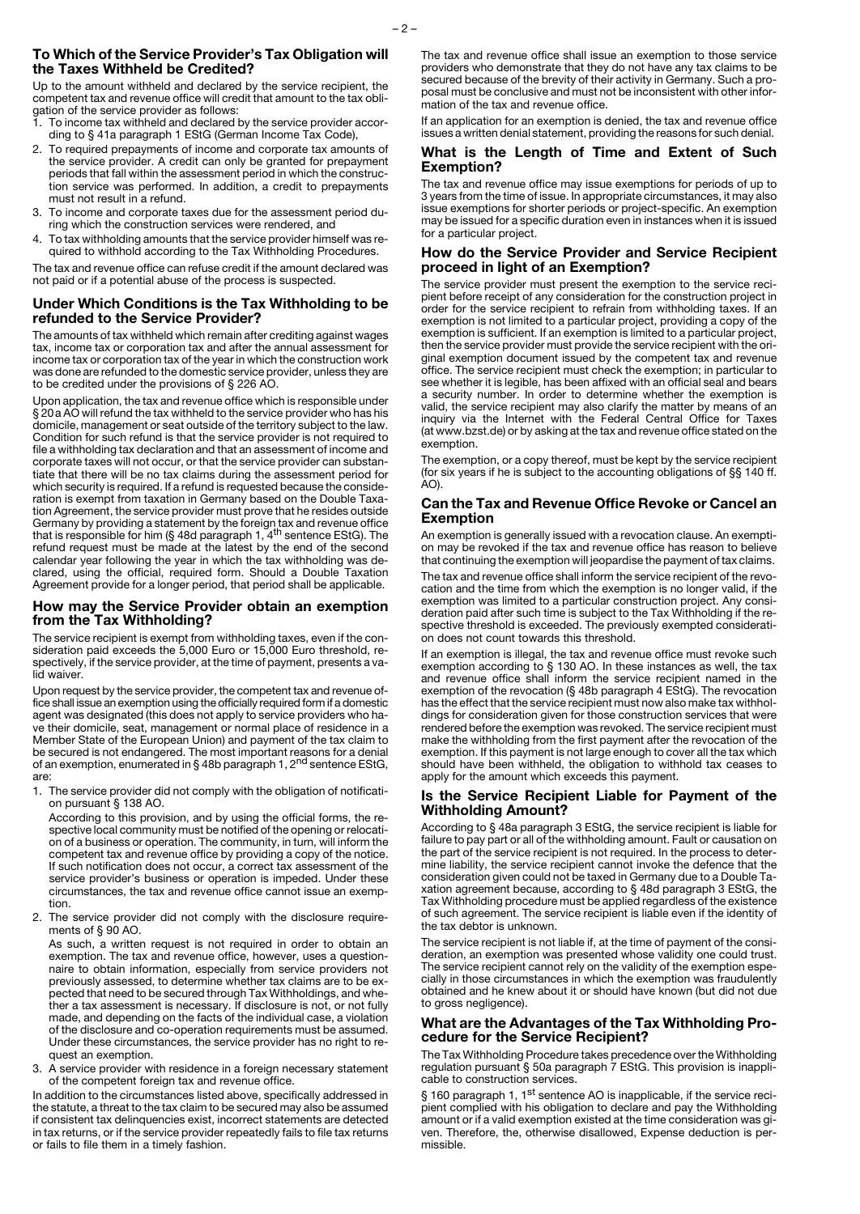### **To Which of the Service Provider's Tax Obligation will the Taxes Withheld be Credited?**

Up to the amount withheld and declared by the service recipient, the competent tax and revenue office will credit that amount to the tax obligation of the service provider as follows:

- 1. To income tax withheld and declared by the service provider according to § 41a paragraph 1 EStG (German Income Tax Code),
- 2. To required prepayments of income and corporate tax amounts of the service provider. A credit can only be granted for prepayment periods that fall within the assessment period in which the construction service was performed. In addition, a credit to prepayments must not result in a refund.
- 3. To income and corporate taxes due for the assessment period during which the construction services were rendered, and
- 4. To tax withholding amounts that the service provider himself was required to withhold according to the Tax Withholding Procedures.

The tax and revenue office can refuse credit if the amount declared was not paid or if a potential abuse of the process is suspected.

#### **Under Which Conditions is the Tax Withholding to be refunded to the Service Provider?**

The amounts of tax withheld which remain after crediting against wages tax, income tax or corporation tax and after the annual assessment for income tax or corporation tax of the year in which the construction work was done are refunded to the domestic service provider, unless they are to be credited under the provisions of § 226 AO.

Upon application, the tax and revenue office which is responsible under § 20a AO will refund the tax withheld to the service provider who has his domicile, management or seat outside of the territory subject to the law. Condition for such refund is that the service provider is not required to file a withholding tax declaration and that an assessment of income and corporate taxes will not occur, or that the service provider can substantiate that there will be no tax claims during the assessment period for which security is required. If a refund is requested because the consideration is exempt from taxation in Germany based on the Double Taxation Agreement, the service provider must prove that he resides outside Germany by providing a statement by the foreign tax and revenue office<br>that is responsible for him (§ 48d paragraph 1, 4<sup>th</sup> sentence EStG). The refund request must be made at the latest by the end of the second calendar year following the year in which the tax withholding was declared, using the official, required form. Should a Double Taxation Agreement provide for a longer period, that period shall be applicable.

#### **How may the Service Provider obtain an exemption from the Tax Withholding?**

The service recipient is exempt from withholding taxes, even if the consideration paid exceeds the 5,000 Euro or 15,000 Euro threshold, respectively, if the service provider, at the time of payment, presents a valid waiver.

Upon request by the service provider, the competent tax and revenue office shall issue an exemption using the officially required form if a domestic agent was designated (this does not apply to service providers who have their domicile, seat, management or normal place of residence in a Member State of the European Union) and payment of the tax claim to be secured is not endangered. The most important reasons for a denial<br>of an exemption, enumerated in § 48b paragraph 1, 2<sup>nd</sup> sentence EStG, are:

1. The service provider did not comply with the obligation of notification pursuant § 138 AO.

According to this provision, and by using the official forms, the respective local community must be notified of the opening or relocation of a business or operation. The community, in turn, will inform the competent tax and revenue office by providing a copy of the notice. If such notification does not occur, a correct tax assessment of the service provider's business or operation is impeded. Under these circumstances, the tax and revenue office cannot issue an exemption.

2. The service provider did not comply with the disclosure requirements of § 90 AO.

As such, a written request is not required in order to obtain an exemption. The tax and revenue office, however, uses a questionnaire to obtain information, especially from service providers not previously assessed, to determine whether tax claims are to be expected that need to be secured through Tax Withholdings, and whether a tax assessment is necessary. If disclosure is not, or not fully made, and depending on the facts of the individual case, a violation of the disclosure and co-operation requirements must be assumed. Under these circumstances, the service provider has no right to request an exemption.

3. A service provider with residence in a foreign necessary statement of the competent foreign tax and revenue office.

In addition to the circumstances listed above, specifically addressed in the statute, a threat to the tax claim to be secured may also be assumed if consistent tax delinquencies exist, incorrect statements are detected in tax returns, or if the service provider repeatedly fails to file tax returns or fails to file them in a timely fashion.

The tax and revenue office shall issue an exemption to those service providers who demonstrate that they do not have any tax claims to be secured because of the brevity of their activity in Germany. Such a proposal must be conclusive and must not be inconsistent with other information of the tax and revenue office.

If an application for an exemption is denied, the tax and revenue office issues a written denial statement, providing the reasons for such denial.

#### **What is the Length of Time and Extent of Such Exemption?**

The tax and revenue office may issue exemptions for periods of up to 3 years from the time of issue. In appropriate circumstances, it may also issue exemptions for shorter periods or project-specific. An exemption may be issued for a specific duration even in instances when it is issued for a particular project.

## **How do the Service Provider and Service Recipient proceed in light of an Exemption?**

The service provider must present the exemption to the service recipient before receipt of any consideration for the construction project in order for the service recipient to refrain from withholding taxes. If an exemption is not limited to a particular project, providing a copy of the exemption is sufficient. If an exemption is limited to a particular project, then the service provider must provide the service recipient with the original exemption document issued by the competent tax and revenue office. The service recipient must check the exemption; in particular to see whether it is legible, has been affixed with an official seal and bears a security number. In order to determine whether the exemption is valid, the service recipient may also clarify the matter by means of an inquiry via the Internet with the Federal Central Office for Taxes (at www.bzst.de) or by asking at the tax and revenue office stated on the exemption.

The exemption, or a copy thereof, must be kept by the service recipient (for six years if he is subject to the accounting obligations of §§ 140 ff. AO).

## **Can the Tax and Revenue Office Revoke or Cancel an Exemption**

An exemption is generally issued with a revocation clause. An exemption may be revoked if the tax and revenue office has reason to believe that continuing the exemption will jeopardise the payment of tax claims.

The tax and revenue office shall inform the service recipient of the revocation and the time from which the exemption is no longer valid, if the exemption was limited to a particular construction project. Any consideration paid after such time is subject to the Tax Withholding if the respective threshold is exceeded. The previously exempted consideration does not count towards this threshold.

If an exemption is illegal, the tax and revenue office must revoke such exemption according to § 130 AO. In these instances as well, the tax and revenue office shall inform the service recipient named in the exemption of the revocation (§ 48b paragraph 4 EStG). The revocation has the effect that the service recipient must now also make tax withholdings for consideration given for those construction services that were rendered before the exemption was revoked. The service recipient must make the withholding from the first payment after the revocation of the exemption. If this payment is not large enough to cover all the tax which should have been withheld, the obligation to withhold tax ceases to apply for the amount which exceeds this payment.

## **Is the Service Recipient Liable for Payment of the Withholding Amount?**

According to § 48a paragraph 3 EStG, the service recipient is liable for failure to pay part or all of the withholding amount. Fault or causation on the part of the service recipient is not required. In the process to determine liability, the service recipient cannot invoke the defence that the consideration given could not be taxed in Germany due to a Double Taxation agreement because, according to § 48d paragraph 3 EStG, the Tax Withholding procedure must be applied regardless of the existence of such agreement. The service recipient is liable even if the identity of the tax debtor is unknown.

The service recipient is not liable if, at the time of payment of the consideration, an exemption was presented whose validity one could trust. The service recipient cannot rely on the validity of the exemption especially in those circumstances in which the exemption was fraudulently obtained and he knew about it or should have known (but did not due to gross negligence).

#### **What are the Advantages of the Tax Withholding Procedure for the Service Recipient?**

The Tax Withholding Procedure takes precedence over the Withholding regulation pursuant § 50a paragraph 7 EStG. This provision is inapplicable to construction services.

§ 160 paragraph 1, 1<sup>st</sup> sentence AO is inapplicable, if the service recipient complied with his obligation to declare and pay the Withholding amount or if a valid exemption existed at the time consideration was given. Therefore, the, otherwise disallowed, Expense deduction is permissible.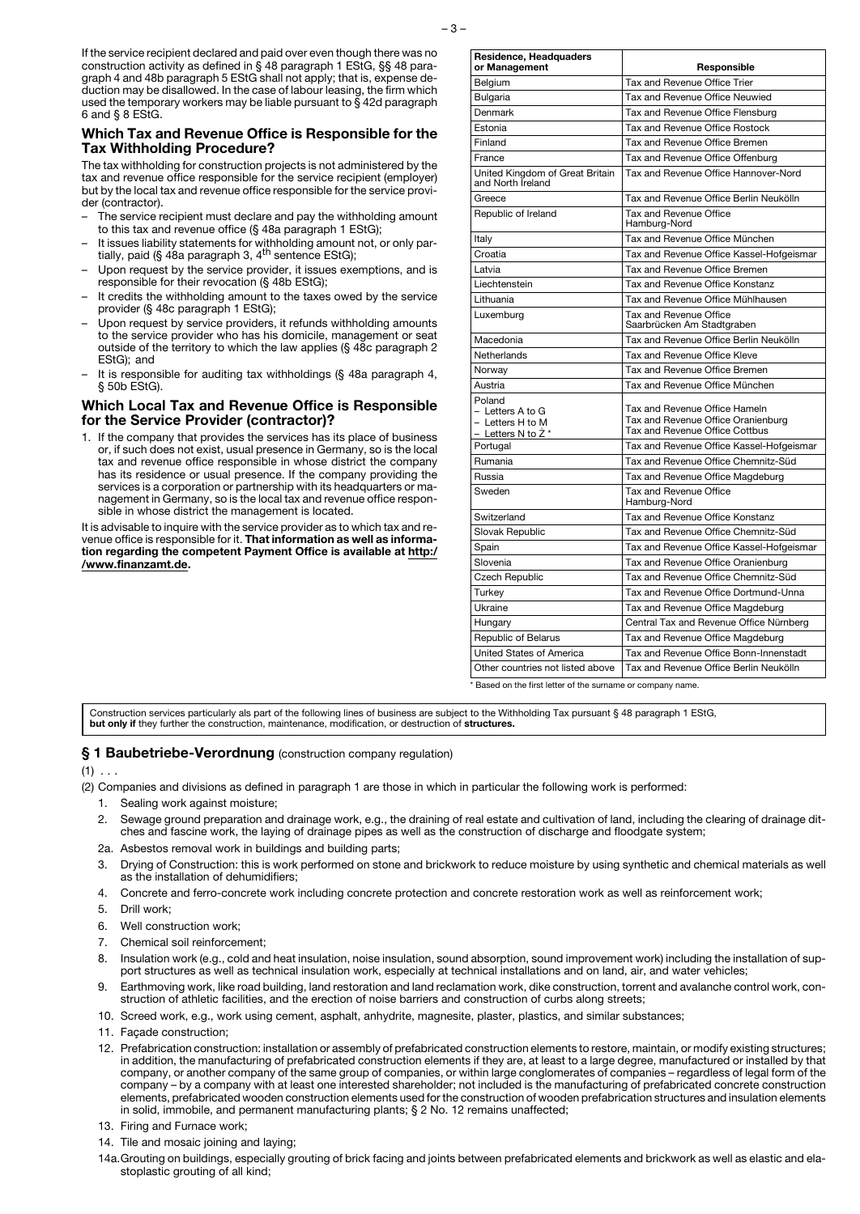If the service recipient declared and paid over even though there was no construction activity as defined in § 48 paragraph 1 EStG, §§ 48 paragraph 4 and 48b paragraph 5 EStG shall not apply; that is, expense deduction may be disallowed. In the case of labour leasing, the firm which used the temporary workers may be liable pursuant to § 42d paragraph 6 and § 8 EStG.

## **Which Tax and Revenue Office is Responsible for the Tax Withholding Procedure?**

The tax withholding for construction projects is not administered by the tax and revenue office responsible for the service recipient (employer) but by the local tax and revenue office responsible for the service provider (contractor).

- The service recipient must declare and pay the withholding amount to this tax and revenue office (§ 48a paragraph 1 EStG);
- It issues liability statements for withholding amount not, or only par-tially, paid (§ 48a paragraph 3, 4th sentence EStG);
- Upon request by the service provider, it issues exemptions, and is responsible for their revocation (§ 48b EStG);
- It credits the withholding amount to the taxes owed by the service provider (§ 48c paragraph 1 EStG);
- Upon request by service providers, it refunds withholding amounts to the service provider who has his domicile, management or seat outside of the territory to which the law applies (§ 48c paragraph 2 EStG); and
- It is responsible for auditing tax withholdings (§ 48a paragraph 4, § 50b EStG).

## **Which Local Tax and Revenue Office is Responsible for the Service Provider (contractor)?**

1. If the company that provides the services has its place of business or, if such does not exist, usual presence in Germany, so is the local tax and revenue office responsible in whose district the company has its residence or usual presence. If the company providing the services is a corporation or partnership with its headquarters or management in Germany, so is the local tax and revenue office responsible in whose district the management is located.

It is advisable to inquire with the service provider as to which tax and revenue office is responsible for it. **That information as well as information regarding the competent Payment Office is available at http:/ /www.finanzamt.de.**

| Residence, Headquaders<br>or Management                              | Responsible                                                                                           |
|----------------------------------------------------------------------|-------------------------------------------------------------------------------------------------------|
| Belgium                                                              | Tax and Revenue Office Trier                                                                          |
| Bulgaria                                                             | Tax and Revenue Office Neuwied                                                                        |
| Denmark                                                              | Tax and Revenue Office Flensburg                                                                      |
| Estonia                                                              | Tax and Revenue Office Rostock                                                                        |
| Finland                                                              | Tax and Revenue Office Bremen                                                                         |
| France                                                               | Tax and Revenue Office Offenburg                                                                      |
| United Kingdom of Great Britain<br>and North Ireland                 | Tax and Revenue Office Hannover-Nord                                                                  |
| Greece                                                               | Tax and Revenue Office Berlin Neukölln                                                                |
| Republic of Ireland                                                  | Tax and Revenue Office<br>Hamburg-Nord                                                                |
| Italy                                                                | Tax and Revenue Office München                                                                        |
| Croatia                                                              | Tax and Revenue Office Kassel-Hofgeismar                                                              |
| Latvia                                                               | Tax and Revenue Office Bremen                                                                         |
| Liechtenstein                                                        | Tax and Revenue Office Konstanz                                                                       |
| Lithuania                                                            | Tax and Revenue Office Mühlhausen                                                                     |
| Luxemburg                                                            | Tax and Revenue Office<br>Saarbrücken Am Stadtgraben                                                  |
| Macedonia                                                            | Tax and Revenue Office Berlin Neukölln                                                                |
| Netherlands                                                          | Tax and Revenue Office Kleve                                                                          |
| Norway                                                               | Tax and Revenue Office Bremen                                                                         |
| Austria                                                              | Tax and Revenue Office München                                                                        |
| Poland<br>- Letters A to G<br>- Letters H to M<br>– Letters N to Z * | Tax and Revenue Office Hameln<br>Tax and Revenue Office Oranienburg<br>Tax and Revenue Office Cottbus |
| Portugal                                                             | Tax and Revenue Office Kassel-Hofgeismar                                                              |
| Rumania                                                              | Tax and Revenue Office Chemnitz-Süd                                                                   |
| Russia                                                               | Tax and Revenue Office Magdeburg                                                                      |
| Sweden                                                               | Tax and Revenue Office<br>Hamburg-Nord                                                                |
| Switzerland                                                          | Tax and Revenue Office Konstanz                                                                       |
| Slovak Republic                                                      | Tax and Revenue Office Chemnitz-Süd                                                                   |
| Spain                                                                | Tax and Revenue Office Kassel-Hofgeismar                                                              |
| Slovenia                                                             | Tax and Revenue Office Oranienburg                                                                    |
| Czech Republic                                                       | Tax and Revenue Office Chemnitz-Süd                                                                   |
| Turkey                                                               | Tax and Revenue Office Dortmund-Unna                                                                  |
| Ukraine                                                              | Tax and Revenue Office Magdeburg                                                                      |
| Hungary                                                              | Central Tax and Revenue Office Nürnberg                                                               |
| Republic of Belarus                                                  | Tax and Revenue Office Magdeburg                                                                      |
| United States of America                                             | Tax and Revenue Office Bonn-Innenstadt                                                                |
| Other countries not listed above                                     | Tax and Revenue Office Berlin Neukölln                                                                |
| Based on the first letter of the surname or company name.            |                                                                                                       |

Construction services particularly als part of the following lines of business are subject to the Withholding Tax pursuant § 48 paragraph 1 EStG, **but only if** they further the construction, maintenance, modification, or destruction of **structures.**

## **§ 1 Baubetriebe-Verordnung** (construction company regulation)

 $(1)$  . . .

(2) Companies and divisions as defined in paragraph 1 are those in which in particular the following work is performed:

- 1. Sealing work against moisture;
- 2. Sewage ground preparation and drainage work, e.g., the draining of real estate and cultivation of land, including the clearing of drainage ditches and fascine work, the laying of drainage pipes as well as the construction of discharge and floodgate system;
- 2a. Asbestos removal work in buildings and building parts;
- 3. Drying of Construction: this is work performed on stone and brickwork to reduce moisture by using synthetic and chemical materials as well as the installation of dehumidifiers;
- 4. Concrete and ferro-concrete work including concrete protection and concrete restoration work as well as reinforcement work;
- 5. Drill work;
- 6. Well construction work;
- 7. Chemical soil reinforcement;
- 8. Insulation work (e.g., cold and heat insulation, noise insulation, sound absorption, sound improvement work) including the installation of support structures as well as technical insulation work, especially at technical installations and on land, air, and water vehicles;
- 9. Earthmoving work, like road building, land restoration and land reclamation work, dike construction, torrent and avalanche control work, construction of athletic facilities, and the erection of noise barriers and construction of curbs along streets;
- 10. Screed work, e.g., work using cement, asphalt, anhydrite, magnesite, plaster, plastics, and similar substances;
- 11. Facade construction:
- 12. Prefabrication construction: installation or assembly of prefabricated construction elements to restore, maintain, or modify existing structures; in addition, the manufacturing of prefabricated construction elements if they are, at least to a large degree, manufactured or installed by that company, or another company of the same group of companies, or within large conglomerates of companies – regardless of legal form of the company – by a company with at least one interested shareholder; not included is the manufacturing of prefabricated concrete construction elements, prefabricated wooden construction elements used for the construction of wooden prefabrication structures and insulation elements in solid, immobile, and permanent manufacturing plants; § 2 No. 12 remains unaffected;
- 13. Firing and Furnace work;
- 14. Tile and mosaic joining and laying;
- 14a.Grouting on buildings, especially grouting of brick facing and joints between prefabricated elements and brickwork as well as elastic and elastoplastic grouting of all kind;